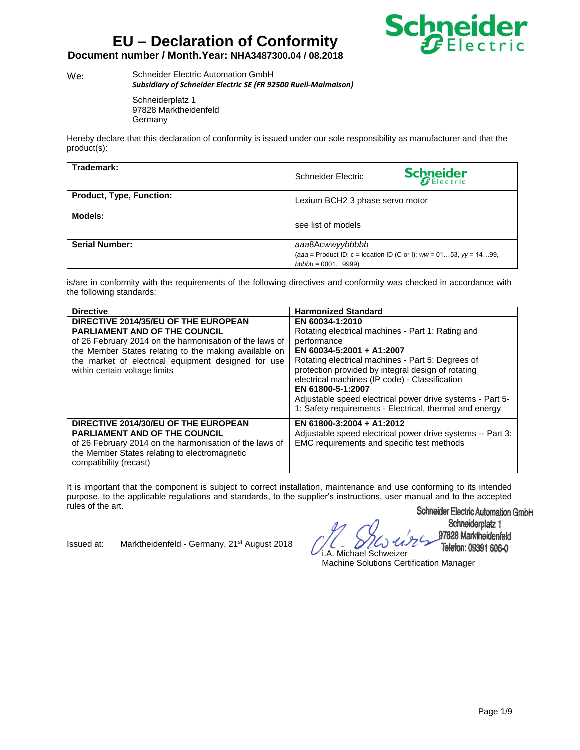

### **Document number / Month.Year: NHA3487300.04 / 08.2018**

We: Schneider Electric Automation GmbH *Subsidiary of Schneider Electric SE (FR 92500 Rueil-Malmaison)*

> Schneiderplatz 1 97828 Marktheidenfeld **Germany**

Hereby declare that this declaration of conformity is issued under our sole responsibility as manufacturer and that the product(s):

| Trademark:                      | <b>Schneider</b><br>Schneider Electric                                   |
|---------------------------------|--------------------------------------------------------------------------|
| <b>Product, Type, Function:</b> | Lexium BCH2 3 phase servo motor                                          |
| Models:                         | see list of models                                                       |
| <b>Serial Number:</b>           | aaa8Acwwyybbbbb                                                          |
|                                 | (aaa = Product ID; c = location ID (C or I); $ww = 0153$ , $yy = 1499$ . |
|                                 | $bbbbb = 00019999)$                                                      |

is/are in conformity with the requirements of the following directives and conformity was checked in accordance with the following standards:

| <b>Directive</b>                                                                                                                                                                                                                                 | <b>Harmonized Standard</b>                                                                                                                                                                                                                                                                                                                                                                              |
|--------------------------------------------------------------------------------------------------------------------------------------------------------------------------------------------------------------------------------------------------|---------------------------------------------------------------------------------------------------------------------------------------------------------------------------------------------------------------------------------------------------------------------------------------------------------------------------------------------------------------------------------------------------------|
| DIRECTIVE 2014/35/EU OF THE EUROPEAN                                                                                                                                                                                                             | EN 60034-1:2010                                                                                                                                                                                                                                                                                                                                                                                         |
| <b>PARLIAMENT AND OF THE COUNCIL</b><br>of 26 February 2014 on the harmonisation of the laws of<br>the Member States relating to the making available on<br>the market of electrical equipment designed for use<br>within certain voltage limits | Rotating electrical machines - Part 1: Rating and<br>performance<br>EN 60034-5:2001 + A1:2007<br>Rotating electrical machines - Part 5: Degrees of<br>protection provided by integral design of rotating<br>electrical machines (IP code) - Classification<br>EN 61800-5-1:2007<br>Adjustable speed electrical power drive systems - Part 5-<br>1: Safety requirements - Electrical, thermal and energy |
| DIRECTIVE 2014/30/EU OF THE EUROPEAN<br><b>PARLIAMENT AND OF THE COUNCIL</b><br>of 26 February 2014 on the harmonisation of the laws of<br>the Member States relating to electromagnetic<br>compatibility (recast)                               | EN 61800-3:2004 + A1:2012<br>Adjustable speed electrical power drive systems -- Part 3:<br>EMC requirements and specific test methods                                                                                                                                                                                                                                                                   |

It is important that the component is subject to correct installation, maintenance and use conforming to its intended purpose, to the applicable regulations and standards, to the supplier's instructions, user manual and to the accepted rules of the art.

Issued at: Marktheidenfeld - Germany, 21<sup>st</sup> August 2018

i.A. Michael Schweizer

Schneider Electric Automation Gmbi-i Schneiderplatz 1

97828 Marktheidenfeld Telefon: 09391 606-0

Machine Solutions Certification Manager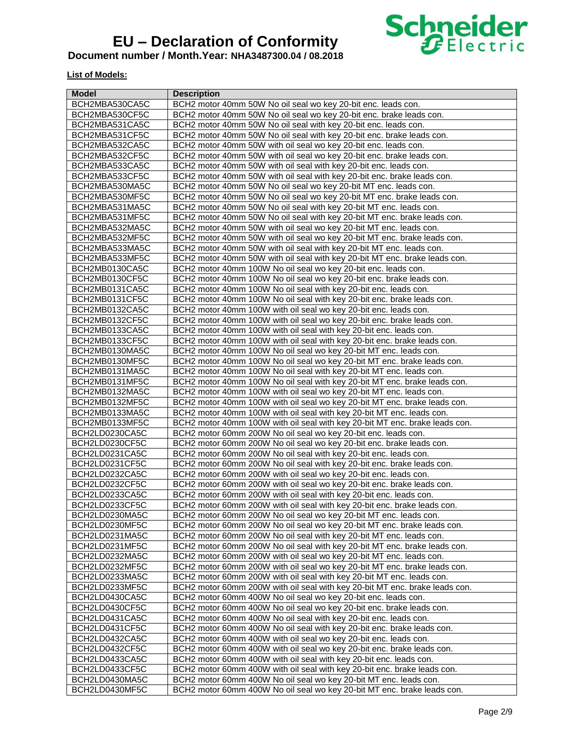

#### **Document number / Month.Year: NHA3487300.04 / 08.2018**

### **List of Models:**

| Model          | <b>Description</b>                                                          |
|----------------|-----------------------------------------------------------------------------|
| BCH2MBA530CA5C | BCH2 motor 40mm 50W No oil seal wo key 20-bit enc. leads con.               |
| BCH2MBA530CF5C | BCH2 motor 40mm 50W No oil seal wo key 20-bit enc. brake leads con.         |
| BCH2MBA531CA5C | BCH2 motor 40mm 50W No oil seal with key 20-bit enc. leads con.             |
| BCH2MBA531CF5C | BCH2 motor 40mm 50W No oil seal with key 20-bit enc. brake leads con.       |
| BCH2MBA532CA5C | BCH2 motor 40mm 50W with oil seal wo key 20-bit enc. leads con.             |
| BCH2MBA532CF5C | BCH2 motor 40mm 50W with oil seal wo key 20-bit enc. brake leads con.       |
| BCH2MBA533CA5C | BCH2 motor 40mm 50W with oil seal with key 20-bit enc. leads con.           |
| BCH2MBA533CF5C | BCH2 motor 40mm 50W with oil seal with key 20-bit enc. brake leads con.     |
| BCH2MBA530MA5C | BCH2 motor 40mm 50W No oil seal wo key 20-bit MT enc. leads con.            |
| BCH2MBA530MF5C | BCH2 motor 40mm 50W No oil seal wo key 20-bit MT enc. brake leads con.      |
| BCH2MBA531MA5C | BCH2 motor 40mm 50W No oil seal with key 20-bit MT enc. leads con.          |
| BCH2MBA531MF5C | BCH2 motor 40mm 50W No oil seal with key 20-bit MT enc. brake leads con.    |
| BCH2MBA532MA5C | BCH2 motor 40mm 50W with oil seal wo key 20-bit MT enc. leads con.          |
| BCH2MBA532MF5C | BCH2 motor 40mm 50W with oil seal wo key 20-bit MT enc. brake leads con.    |
| BCH2MBA533MA5C | BCH2 motor 40mm 50W with oil seal with key 20-bit MT enc. leads con.        |
| BCH2MBA533MF5C | BCH2 motor 40mm 50W with oil seal with key 20-bit MT enc. brake leads con.  |
| BCH2MB0130CA5C | BCH2 motor 40mm 100W No oil seal wo key 20-bit enc. leads con.              |
| BCH2MB0130CF5C | BCH2 motor 40mm 100W No oil seal wo key 20-bit enc. brake leads con.        |
| BCH2MB0131CA5C | BCH2 motor 40mm 100W No oil seal with key 20-bit enc. leads con.            |
| BCH2MB0131CF5C | BCH2 motor 40mm 100W No oil seal with key 20-bit enc. brake leads con.      |
| BCH2MB0132CA5C | BCH2 motor 40mm 100W with oil seal wo key 20-bit enc. leads con.            |
| BCH2MB0132CF5C | BCH2 motor 40mm 100W with oil seal wo key 20-bit enc. brake leads con.      |
| BCH2MB0133CA5C | BCH2 motor 40mm 100W with oil seal with key 20-bit enc. leads con.          |
| BCH2MB0133CF5C | BCH2 motor 40mm 100W with oil seal with key 20-bit enc. brake leads con.    |
| BCH2MB0130MA5C | BCH2 motor 40mm 100W No oil seal wo key 20-bit MT enc. leads con.           |
| BCH2MB0130MF5C | BCH2 motor 40mm 100W No oil seal wo key 20-bit MT enc. brake leads con.     |
| BCH2MB0131MA5C | BCH2 motor 40mm 100W No oil seal with key 20-bit MT enc. leads con.         |
| BCH2MB0131MF5C | BCH2 motor 40mm 100W No oil seal with key 20-bit MT enc. brake leads con.   |
| BCH2MB0132MA5C | BCH2 motor 40mm 100W with oil seal wo key 20-bit MT enc. leads con.         |
| BCH2MB0132MF5C | BCH2 motor 40mm 100W with oil seal wo key 20-bit MT enc. brake leads con.   |
| BCH2MB0133MA5C | BCH2 motor 40mm 100W with oil seal with key 20-bit MT enc. leads con.       |
| BCH2MB0133MF5C | BCH2 motor 40mm 100W with oil seal with key 20-bit MT enc. brake leads con. |
| BCH2LD0230CA5C | BCH2 motor 60mm 200W No oil seal wo key 20-bit enc. leads con.              |
| BCH2LD0230CF5C | BCH2 motor 60mm 200W No oil seal wo key 20-bit enc. brake leads con.        |
| BCH2LD0231CA5C | BCH2 motor 60mm 200W No oil seal with key 20-bit enc. leads con.            |
| BCH2LD0231CF5C | BCH2 motor 60mm 200W No oil seal with key 20-bit enc. brake leads con.      |
| BCH2LD0232CA5C | BCH2 motor 60mm 200W with oil seal wo key 20-bit enc. leads con.            |
| BCH2LD0232CF5C | BCH2 motor 60mm 200W with oil seal wo key 20-bit enc. brake leads con.      |
| BCH2LD0233CA5C | BCH2 motor 60mm 200W with oil seal with key 20-bit enc. leads con.          |
| BCH2LD0233CF5C | BCH2 motor 60mm 200W with oil seal with key 20-bit enc. brake leads con.    |
| BCH2LD0230MA5C | BCH2 motor 60mm 200W No oil seal wo key 20-bit MT enc. leads con.           |
| BCH2LD0230MF5C | BCH2 motor 60mm 200W No oil seal wo key 20-bit MT enc. brake leads con.     |
| BCH2LD0231MA5C | BCH2 motor 60mm 200W No oil seal with key 20-bit MT enc. leads con.         |
| BCH2LD0231MF5C | BCH2 motor 60mm 200W No oil seal with key 20-bit MT enc. brake leads con.   |
| BCH2LD0232MA5C | BCH2 motor 60mm 200W with oil seal wo key 20-bit MT enc. leads con.         |
| BCH2LD0232MF5C | BCH2 motor 60mm 200W with oil seal wo key 20-bit MT enc. brake leads con.   |
| BCH2LD0233MA5C | BCH2 motor 60mm 200W with oil seal with key 20-bit MT enc. leads con.       |
| BCH2LD0233MF5C | BCH2 motor 60mm 200W with oil seal with key 20-bit MT enc. brake leads con. |
| BCH2LD0430CA5C | BCH2 motor 60mm 400W No oil seal wo key 20-bit enc. leads con.              |
| BCH2LD0430CF5C | BCH2 motor 60mm 400W No oil seal wo key 20-bit enc. brake leads con.        |
| BCH2LD0431CA5C | BCH2 motor 60mm 400W No oil seal with key 20-bit enc. leads con.            |
| BCH2LD0431CF5C | BCH2 motor 60mm 400W No oil seal with key 20-bit enc. brake leads con.      |
| BCH2LD0432CA5C | BCH2 motor 60mm 400W with oil seal wo key 20-bit enc. leads con.            |
| BCH2LD0432CF5C | BCH2 motor 60mm 400W with oil seal wo key 20-bit enc. brake leads con.      |
| BCH2LD0433CA5C | BCH2 motor 60mm 400W with oil seal with key 20-bit enc. leads con.          |
| BCH2LD0433CF5C | BCH2 motor 60mm 400W with oil seal with key 20-bit enc. brake leads con.    |
| BCH2LD0430MA5C | BCH2 motor 60mm 400W No oil seal wo key 20-bit MT enc. leads con.           |
| BCH2LD0430MF5C | BCH2 motor 60mm 400W No oil seal wo key 20-bit MT enc. brake leads con.     |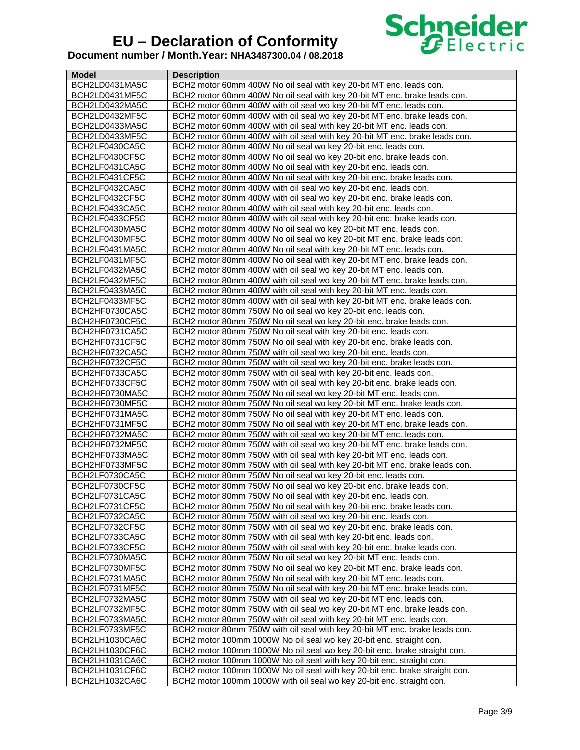

| Model          | <b>Description</b>                                                          |
|----------------|-----------------------------------------------------------------------------|
| BCH2LD0431MA5C | BCH2 motor 60mm 400W No oil seal with key 20-bit MT enc. leads con.         |
| BCH2LD0431MF5C | BCH2 motor 60mm 400W No oil seal with key 20-bit MT enc. brake leads con.   |
| BCH2LD0432MA5C | BCH2 motor 60mm 400W with oil seal wo key 20-bit MT enc. leads con.         |
| BCH2LD0432MF5C | BCH2 motor 60mm 400W with oil seal wo key 20-bit MT enc. brake leads con.   |
| BCH2LD0433MA5C | BCH2 motor 60mm 400W with oil seal with key 20-bit MT enc. leads con.       |
| BCH2LD0433MF5C | BCH2 motor 60mm 400W with oil seal with key 20-bit MT enc. brake leads con. |
| BCH2LF0430CA5C | BCH2 motor 80mm 400W No oil seal wo key 20-bit enc. leads con.              |
| BCH2LF0430CF5C | BCH2 motor 80mm 400W No oil seal wo key 20-bit enc. brake leads con.        |
| BCH2LF0431CA5C | BCH2 motor 80mm 400W No oil seal with key 20-bit enc. leads con.            |
| BCH2LF0431CF5C | BCH2 motor 80mm 400W No oil seal with key 20-bit enc. brake leads con.      |
| BCH2LF0432CA5C | BCH2 motor 80mm 400W with oil seal wo key 20-bit enc. leads con.            |
| BCH2LF0432CF5C | BCH2 motor 80mm 400W with oil seal wo key 20-bit enc. brake leads con.      |
| BCH2LF0433CA5C | BCH2 motor 80mm 400W with oil seal with key 20-bit enc. leads con.          |
| BCH2LF0433CF5C | BCH2 motor 80mm 400W with oil seal with key 20-bit enc. brake leads con.    |
| BCH2LF0430MA5C | BCH2 motor 80mm 400W No oil seal wo key 20-bit MT enc. leads con.           |
| BCH2LF0430MF5C | BCH2 motor 80mm 400W No oil seal wo key 20-bit MT enc. brake leads con.     |
| BCH2LF0431MA5C | BCH2 motor 80mm 400W No oil seal with key 20-bit MT enc. leads con.         |
| BCH2LF0431MF5C | BCH2 motor 80mm 400W No oil seal with key 20-bit MT enc. brake leads con.   |
| BCH2LF0432MA5C | BCH2 motor 80mm 400W with oil seal wo key 20-bit MT enc. leads con.         |
| BCH2LF0432MF5C | BCH2 motor 80mm 400W with oil seal wo key 20-bit MT enc. brake leads con.   |
| BCH2LF0433MA5C | BCH2 motor 80mm 400W with oil seal with key 20-bit MT enc. leads con.       |
| BCH2LF0433MF5C | BCH2 motor 80mm 400W with oil seal with key 20-bit MT enc. brake leads con. |
| BCH2HF0730CA5C | BCH2 motor 80mm 750W No oil seal wo key 20-bit enc. leads con.              |
| BCH2HF0730CF5C | BCH2 motor 80mm 750W No oil seal wo key 20-bit enc. brake leads con.        |
| BCH2HF0731CA5C | BCH2 motor 80mm 750W No oil seal with key 20-bit enc. leads con.            |
| BCH2HF0731CF5C | BCH2 motor 80mm 750W No oil seal with key 20-bit enc. brake leads con.      |
| BCH2HF0732CA5C | BCH2 motor 80mm 750W with oil seal wo key 20-bit enc. leads con.            |
| BCH2HF0732CF5C | BCH2 motor 80mm 750W with oil seal wo key 20-bit enc. brake leads con.      |
| BCH2HF0733CA5C | BCH2 motor 80mm 750W with oil seal with key 20-bit enc. leads con.          |
| BCH2HF0733CF5C | BCH2 motor 80mm 750W with oil seal with key 20-bit enc. brake leads con.    |
| BCH2HF0730MA5C | BCH2 motor 80mm 750W No oil seal wo key 20-bit MT enc. leads con.           |
| BCH2HF0730MF5C | BCH2 motor 80mm 750W No oil seal wo key 20-bit MT enc. brake leads con.     |
| BCH2HF0731MA5C | BCH2 motor 80mm 750W No oil seal with key 20-bit MT enc. leads con.         |
| BCH2HF0731MF5C | BCH2 motor 80mm 750W No oil seal with key 20-bit MT enc. brake leads con.   |
| BCH2HF0732MA5C | BCH2 motor 80mm 750W with oil seal wo key 20-bit MT enc. leads con.         |
| BCH2HF0732MF5C | BCH2 motor 80mm 750W with oil seal wo key 20-bit MT enc. brake leads con.   |
| BCH2HF0733MA5C | BCH2 motor 80mm 750W with oil seal with key 20-bit MT enc. leads con.       |
| BCH2HF0733MF5C | BCH2 motor 80mm 750W with oil seal with key 20-bit MT enc. brake leads con. |
| BCH2LF0730CA5C | BCH2 motor 80mm 750W No oil seal wo key 20-bit enc. leads con.              |
| BCH2LF0730CF5C | BCH2 motor 80mm 750W No oil seal wo key 20-bit enc. brake leads con.        |
| BCH2LF0731CA5C | BCH2 motor 80mm 750W No oil seal with key 20-bit enc. leads con.            |
| BCH2LF0731CF5C | BCH2 motor 80mm 750W No oil seal with key 20-bit enc. brake leads con.      |
| BCH2LF0732CA5C | BCH2 motor 80mm 750W with oil seal wo key 20-bit enc. leads con.            |
| BCH2LF0732CF5C | BCH2 motor 80mm 750W with oil seal wo key 20-bit enc. brake leads con.      |
| BCH2LF0733CA5C | BCH2 motor 80mm 750W with oil seal with key 20-bit enc. leads con.          |
| BCH2LF0733CF5C | BCH2 motor 80mm 750W with oil seal with key 20-bit enc. brake leads con.    |
| BCH2LF0730MA5C | BCH2 motor 80mm 750W No oil seal wo key 20-bit MT enc. leads con.           |
| BCH2LF0730MF5C | BCH2 motor 80mm 750W No oil seal wo key 20-bit MT enc. brake leads con.     |
| BCH2LF0731MA5C | BCH2 motor 80mm 750W No oil seal with key 20-bit MT enc. leads con.         |
| BCH2LF0731MF5C | BCH2 motor 80mm 750W No oil seal with key 20-bit MT enc. brake leads con.   |
| BCH2LF0732MA5C | BCH2 motor 80mm 750W with oil seal wo key 20-bit MT enc. leads con.         |
| BCH2LF0732MF5C | BCH2 motor 80mm 750W with oil seal wo key 20-bit MT enc. brake leads con.   |
| BCH2LF0733MA5C | BCH2 motor 80mm 750W with oil seal with key 20-bit MT enc. leads con.       |
| BCH2LF0733MF5C | BCH2 motor 80mm 750W with oil seal with key 20-bit MT enc. brake leads con. |
| BCH2LH1030CA6C | BCH2 motor 100mm 1000W No oil seal wo key 20-bit enc. straight con.         |
| BCH2LH1030CF6C | BCH2 motor 100mm 1000W No oil seal wo key 20-bit enc. brake straight con.   |
| BCH2LH1031CA6C | BCH2 motor 100mm 1000W No oil seal with key 20-bit enc. straight con.       |
| BCH2LH1031CF6C | BCH2 motor 100mm 1000W No oil seal with key 20-bit enc. brake straight con. |
| BCH2LH1032CA6C | BCH2 motor 100mm 1000W with oil seal wo key 20-bit enc. straight con.       |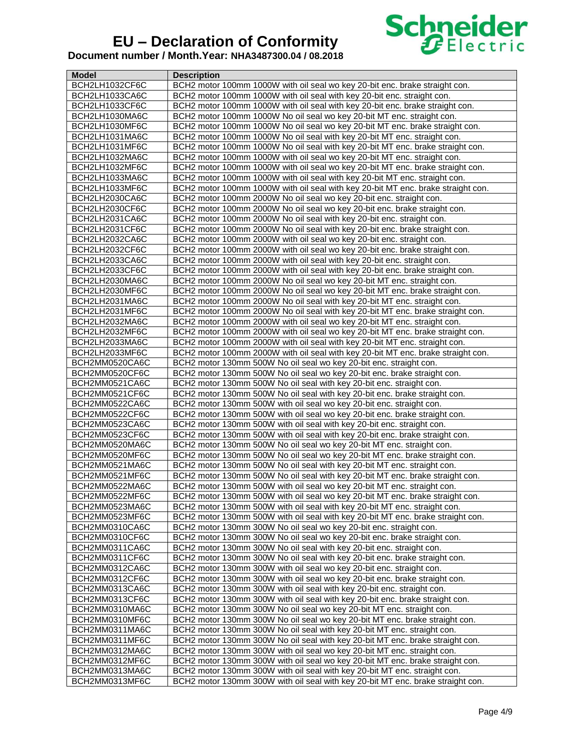

| <b>Model</b>                     | <b>Description</b>                                                                                                                                         |
|----------------------------------|------------------------------------------------------------------------------------------------------------------------------------------------------------|
| BCH2LH1032CF6C                   | BCH2 motor 100mm 1000W with oil seal wo key 20-bit enc. brake straight con.                                                                                |
| BCH2LH1033CA6C                   | BCH2 motor 100mm 1000W with oil seal with key 20-bit enc. straight con.                                                                                    |
| BCH2LH1033CF6C                   | BCH2 motor 100mm 1000W with oil seal with key 20-bit enc. brake straight con.                                                                              |
| BCH2LH1030MA6C                   | BCH2 motor 100mm 1000W No oil seal wo key 20-bit MT enc. straight con.                                                                                     |
| BCH2LH1030MF6C                   | BCH2 motor 100mm 1000W No oil seal wo key 20-bit MT enc. brake straight con.                                                                               |
| BCH2LH1031MA6C                   | BCH2 motor 100mm 1000W No oil seal with key 20-bit MT enc. straight con.                                                                                   |
| BCH2LH1031MF6C                   | BCH2 motor 100mm 1000W No oil seal with key 20-bit MT enc. brake straight con.                                                                             |
| BCH2LH1032MA6C                   | BCH2 motor 100mm 1000W with oil seal wo key 20-bit MT enc. straight con.                                                                                   |
| BCH2LH1032MF6C                   | BCH2 motor 100mm 1000W with oil seal wo key 20-bit MT enc. brake straight con.                                                                             |
| BCH2LH1033MA6C                   | BCH2 motor 100mm 1000W with oil seal with key 20-bit MT enc. straight con.                                                                                 |
| BCH2LH1033MF6C                   | BCH2 motor 100mm 1000W with oil seal with key 20-bit MT enc. brake straight con.                                                                           |
| BCH2LH2030CA6C                   | BCH2 motor 100mm 2000W No oil seal wo key 20-bit enc. straight con.                                                                                        |
| BCH2LH2030CF6C                   | BCH2 motor 100mm 2000W No oil seal wo key 20-bit enc. brake straight con.                                                                                  |
| BCH2LH2031CA6C                   | BCH2 motor 100mm 2000W No oil seal with key 20-bit enc. straight con.                                                                                      |
| BCH2LH2031CF6C                   | BCH2 motor 100mm 2000W No oil seal with key 20-bit enc. brake straight con.                                                                                |
| BCH2LH2032CA6C                   | BCH2 motor 100mm 2000W with oil seal wo key 20-bit enc. straight con.                                                                                      |
| BCH2LH2032CF6C                   | BCH2 motor 100mm 2000W with oil seal wo key 20-bit enc. brake straight con.                                                                                |
| BCH2LH2033CA6C                   | BCH2 motor 100mm 2000W with oil seal with key 20-bit enc. straight con.                                                                                    |
| BCH2LH2033CF6C                   | BCH2 motor 100mm 2000W with oil seal with key 20-bit enc. brake straight con.                                                                              |
| BCH2LH2030MA6C                   | BCH2 motor 100mm 2000W_No oil seal wo key 20-bit MT enc. straight con.                                                                                     |
| BCH2LH2030MF6C                   | BCH2 motor 100mm 2000W No oil seal wo key 20-bit MT enc. brake straight con.                                                                               |
|                                  |                                                                                                                                                            |
| BCH2LH2031MA6C<br>BCH2LH2031MF6C | BCH2 motor 100mm 2000W No oil seal with key 20-bit MT enc. straight con.<br>BCH2 motor 100mm 2000W No oil seal with key 20-bit MT enc. brake straight con. |
| BCH2LH2032MA6C                   | BCH2 motor 100mm 2000W with oil seal wo key 20-bit MT enc. straight con.                                                                                   |
|                                  |                                                                                                                                                            |
| BCH2LH2032MF6C<br>BCH2LH2033MA6C | BCH2 motor 100mm 2000W with oil seal wo key 20-bit MT enc. brake straight con.                                                                             |
|                                  | BCH2 motor 100mm 2000W with oil seal with key 20-bit MT enc. straight con.                                                                                 |
| BCH2LH2033MF6C                   | BCH2 motor 100mm 2000W with oil seal with key 20-bit MT enc. brake straight con.                                                                           |
| BCH2MM0520CA6C<br>BCH2MM0520CF6C | BCH2 motor 130mm 500W No oil seal wo key 20-bit enc. straight con.<br>BCH2 motor 130mm 500W No oil seal wo key 20-bit enc. brake straight con.             |
| BCH2MM0521CA6C                   | BCH2 motor 130mm 500W No oil seal with key 20-bit enc. straight con.                                                                                       |
| BCH2MM0521CF6C                   | BCH2 motor 130mm 500W No oil seal with key 20-bit enc. brake straight con.                                                                                 |
| BCH2MM0522CA6C                   | BCH2 motor 130mm 500W with oil seal wo key 20-bit enc. straight con.                                                                                       |
| BCH2MM0522CF6C                   | BCH2 motor 130mm 500W with oil seal wo key 20-bit enc. brake straight con.                                                                                 |
| BCH2MM0523CA6C                   | BCH2 motor 130mm 500W with oil seal with key 20-bit enc. straight con.                                                                                     |
| BCH2MM0523CF6C                   | BCH2 motor 130mm 500W with oil seal with key 20-bit enc. brake straight con.                                                                               |
| BCH2MM0520MA6C                   | BCH2 motor 130mm 500W No oil seal wo key 20-bit MT enc. straight con.                                                                                      |
| BCH2MM0520MF6C                   | BCH2 motor 130mm 500W No oil seal wo key 20-bit MT enc. brake straight con.                                                                                |
| BCH2MM0521MA6C                   | BCH2 motor 130mm 500W No oil seal with key 20-bit MT enc. straight con.                                                                                    |
| BCH2MM0521MF6C                   | BCH2 motor 130mm 500W No oil seal with key 20-bit MT enc. brake straight con.                                                                              |
| BCH2MM0522MA6C                   | BCH2 motor 130mm 500W with oil seal wo key 20-bit MT enc. straight con.                                                                                    |
| BCH2MM0522MF6C                   | BCH2 motor 130mm 500W with oil seal wo key 20-bit MT enc. brake straight con.                                                                              |
| BCH2MM0523MA6C                   | BCH2 motor 130mm 500W with oil seal with key 20-bit MT enc. straight con.                                                                                  |
| BCH2MM0523MF6C                   | BCH2 motor 130mm 500W with oil seal with key 20-bit MT enc. brake straight con.                                                                            |
| BCH2MM0310CA6C                   | BCH2 motor 130mm 300W No oil seal wo key 20-bit enc. straight con.                                                                                         |
| BCH2MM0310CF6C                   | BCH2 motor 130mm 300W No oil seal wo key 20-bit enc. brake straight con.                                                                                   |
| BCH2MM0311CA6C                   | BCH2 motor 130mm 300W No oil seal with key 20-bit enc. straight con.                                                                                       |
| BCH2MM0311CF6C                   | BCH2 motor 130mm 300W No oil seal with key 20-bit enc. brake straight con.                                                                                 |
| BCH2MM0312CA6C                   | BCH2 motor 130mm 300W with oil seal wo key 20-bit enc. straight con.                                                                                       |
| BCH2MM0312CF6C                   | BCH2 motor 130mm 300W with oil seal wo key 20-bit enc. brake straight con.                                                                                 |
| BCH2MM0313CA6C                   | BCH2 motor 130mm 300W with oil seal with key 20-bit enc. straight con.                                                                                     |
| BCH2MM0313CF6C                   | BCH2 motor 130mm 300W with oil seal with key 20-bit enc. brake straight con.                                                                               |
| BCH2MM0310MA6C                   | BCH2 motor 130mm 300W No oil seal wo key 20-bit MT enc. straight con.                                                                                      |
| BCH2MM0310MF6C                   | BCH2 motor 130mm 300W No oil seal wo key 20-bit MT enc. brake straight con.                                                                                |
| BCH2MM0311MA6C                   | BCH2 motor 130mm 300W No oil seal with key 20-bit MT enc. straight con.                                                                                    |
| BCH2MM0311MF6C                   | BCH2 motor 130mm 300W No oil seal with key 20-bit MT enc. brake straight con.                                                                              |
| BCH2MM0312MA6C                   | BCH2 motor 130mm 300W with oil seal wo key 20-bit MT enc. straight con.                                                                                    |
| BCH2MM0312MF6C                   | BCH2 motor 130mm 300W with oil seal wo key 20-bit MT enc. brake straight con.                                                                              |
| BCH2MM0313MA6C                   | BCH2 motor 130mm 300W with oil seal with key 20-bit MT enc. straight con.                                                                                  |
| BCH2MM0313MF6C                   | BCH2 motor 130mm 300W with oil seal with key 20-bit MT enc. brake straight con.                                                                            |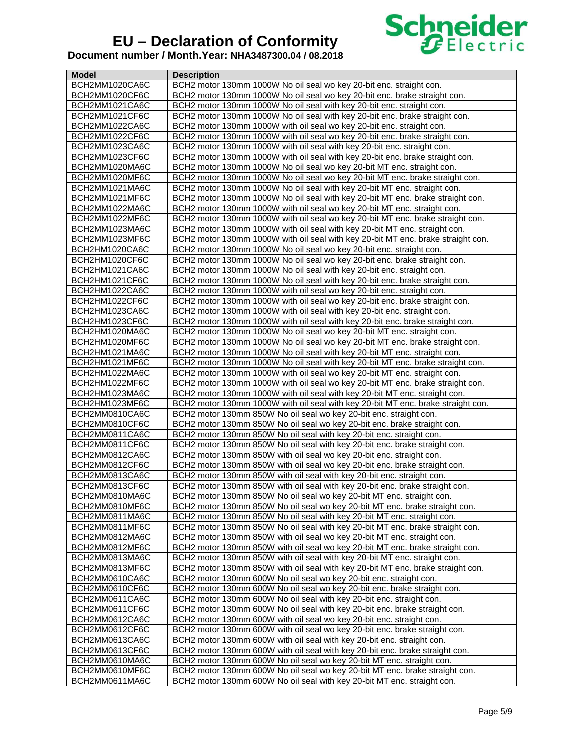

| <b>Model</b>   | <b>Description</b>                                                               |
|----------------|----------------------------------------------------------------------------------|
| BCH2MM1020CA6C | BCH2 motor 130mm 1000W No oil seal wo key 20-bit enc. straight con.              |
| BCH2MM1020CF6C | BCH2 motor 130mm 1000W No oil seal wo key 20-bit enc. brake straight con.        |
| BCH2MM1021CA6C | BCH2 motor 130mm 1000W No oil seal with key 20-bit enc. straight con.            |
| BCH2MM1021CF6C | BCH2 motor 130mm 1000W No oil seal with key 20-bit enc. brake straight con.      |
| BCH2MM1022CA6C | BCH2 motor 130mm 1000W with oil seal wo key 20-bit enc. straight con.            |
| BCH2MM1022CF6C | BCH2 motor 130mm 1000W with oil seal wo key 20-bit enc. brake straight con.      |
| BCH2MM1023CA6C | BCH2 motor 130mm 1000W with oil seal with key 20-bit enc. straight con.          |
| BCH2MM1023CF6C | BCH2 motor 130mm 1000W with oil seal with key 20-bit enc. brake straight con.    |
| BCH2MM1020MA6C | BCH2 motor 130mm 1000W No oil seal wo key 20-bit MT enc. straight con.           |
| BCH2MM1020MF6C | BCH2 motor 130mm 1000W No oil seal wo key 20-bit MT enc. brake straight con.     |
| BCH2MM1021MA6C | BCH2 motor 130mm 1000W No oil seal with key 20-bit MT enc. straight con.         |
| BCH2MM1021MF6C | BCH2 motor 130mm 1000W No oil seal with key 20-bit MT enc. brake straight con.   |
| BCH2MM1022MA6C | BCH2 motor 130mm 1000W with oil seal wo key 20-bit MT enc. straight con.         |
| BCH2MM1022MF6C | BCH2 motor 130mm 1000W with oil seal wo key 20-bit MT enc. brake straight con.   |
|                |                                                                                  |
| BCH2MM1023MA6C | BCH2 motor 130mm 1000W with oil seal with key 20-bit MT enc. straight con.       |
| BCH2MM1023MF6C | BCH2 motor 130mm 1000W with oil seal with key 20-bit MT enc. brake straight con. |
| BCH2HM1020CA6C | BCH2 motor 130mm 1000W No oil seal wo key 20-bit enc. straight con.              |
| BCH2HM1020CF6C | BCH2 motor 130mm 1000W No oil seal wo key 20-bit enc. brake straight con.        |
| BCH2HM1021CA6C | BCH2 motor 130mm 1000W No oil seal with key 20-bit enc. straight con.            |
| BCH2HM1021CF6C | BCH2 motor 130mm 1000W No oil seal with key 20-bit enc. brake straight con.      |
| BCH2HM1022CA6C | BCH2 motor 130mm 1000W with oil seal wo key 20-bit enc. straight con.            |
| BCH2HM1022CF6C | BCH2 motor 130mm 1000W with oil seal wo key 20-bit enc. brake straight con.      |
| BCH2HM1023CA6C | BCH2 motor 130mm 1000W with oil seal with key 20-bit enc. straight con.          |
| BCH2HM1023CF6C | BCH2 motor 130mm 1000W with oil seal with key 20-bit enc. brake straight con.    |
| BCH2HM1020MA6C | BCH2 motor 130mm 1000W No oil seal wo key 20-bit MT enc. straight con.           |
| BCH2HM1020MF6C | BCH2 motor 130mm 1000W No oil seal wo key 20-bit MT enc. brake straight con.     |
| BCH2HM1021MA6C | BCH2 motor 130mm 1000W No oil seal with key 20-bit MT enc. straight con.         |
| BCH2HM1021MF6C | BCH2 motor 130mm 1000W No oil seal with key 20-bit MT enc. brake straight con.   |
| BCH2HM1022MA6C | BCH2 motor 130mm 1000W with oil seal wo key 20-bit MT enc. straight con.         |
| BCH2HM1022MF6C | BCH2 motor 130mm 1000W with oil seal wo key 20-bit MT enc. brake straight con.   |
| BCH2HM1023MA6C | BCH2 motor 130mm 1000W with oil seal with key 20-bit MT enc. straight con.       |
| BCH2HM1023MF6C | BCH2 motor 130mm 1000W with oil seal with key 20-bit MT enc. brake straight con. |
| BCH2MM0810CA6C | BCH2 motor 130mm 850W No oil seal wo key 20-bit enc. straight con.               |
| BCH2MM0810CF6C | BCH2 motor 130mm 850W No oil seal wo key 20-bit enc. brake straight con.         |
| BCH2MM0811CA6C | BCH2 motor 130mm 850W No oil seal with key 20-bit enc. straight con.             |
| BCH2MM0811CF6C | BCH2 motor 130mm 850W No oil seal with key 20-bit enc. brake straight con.       |
| BCH2MM0812CA6C | BCH2 motor 130mm 850W with oil seal wo key 20-bit enc. straight con.             |
| BCH2MM0812CF6C | BCH2 motor 130mm 850W with oil seal wo key 20-bit enc. brake straight con.       |
| BCH2MM0813CA6C | BCH2 motor 130mm 850W with oil seal with key 20-bit enc. straight con.           |
| BCH2MM0813CF6C | BCH2 motor 130mm 850W with oil seal with key 20-bit enc. brake straight con.     |
| BCH2MM0810MA6C | BCH2 motor 130mm 850W No oil seal wo key 20-bit MT enc. straight con.            |
| BCH2MM0810MF6C | BCH2 motor 130mm 850W No oil seal wo key 20-bit MT enc. brake straight con.      |
| BCH2MM0811MA6C | BCH2 motor 130mm 850W No oil seal with key 20-bit MT enc. straight con.          |
| BCH2MM0811MF6C | BCH2 motor 130mm 850W No oil seal with key 20-bit MT enc. brake straight con.    |
| BCH2MM0812MA6C | BCH2 motor 130mm 850W with oil seal wo key 20-bit MT enc. straight con.          |
| BCH2MM0812MF6C | BCH2 motor 130mm 850W with oil seal wo key 20-bit MT enc. brake straight con.    |
| BCH2MM0813MA6C | BCH2 motor 130mm 850W with oil seal with key 20-bit MT enc. straight con.        |
| BCH2MM0813MF6C | BCH2 motor 130mm 850W with oil seal with key 20-bit MT enc. brake straight con.  |
| BCH2MM0610CA6C | BCH2 motor 130mm 600W No oil seal wo key 20-bit enc. straight con.               |
| BCH2MM0610CF6C | BCH2 motor 130mm 600W No oil seal wo key 20-bit enc. brake straight con.         |
| BCH2MM0611CA6C | BCH2 motor 130mm 600W No oil seal with key 20-bit enc. straight con.             |
| BCH2MM0611CF6C | BCH2 motor 130mm 600W No oil seal with key 20-bit enc. brake straight con.       |
| BCH2MM0612CA6C | BCH2 motor 130mm 600W with oil seal wo key 20-bit enc. straight con.             |
| BCH2MM0612CF6C | BCH2 motor 130mm 600W with oil seal wo key 20-bit enc. brake straight con.       |
| BCH2MM0613CA6C | BCH2 motor 130mm 600W with oil seal with key 20-bit enc. straight con.           |
| BCH2MM0613CF6C | BCH2 motor 130mm 600W with oil seal with key 20-bit enc. brake straight con.     |
| BCH2MM0610MA6C | BCH2 motor 130mm 600W No oil seal wo key 20-bit MT enc. straight con.            |
| BCH2MM0610MF6C | BCH2 motor 130mm 600W No oil seal wo key 20-bit MT enc. brake straight con.      |
| BCH2MM0611MA6C | BCH2 motor 130mm 600W No oil seal with key 20-bit MT enc. straight con.          |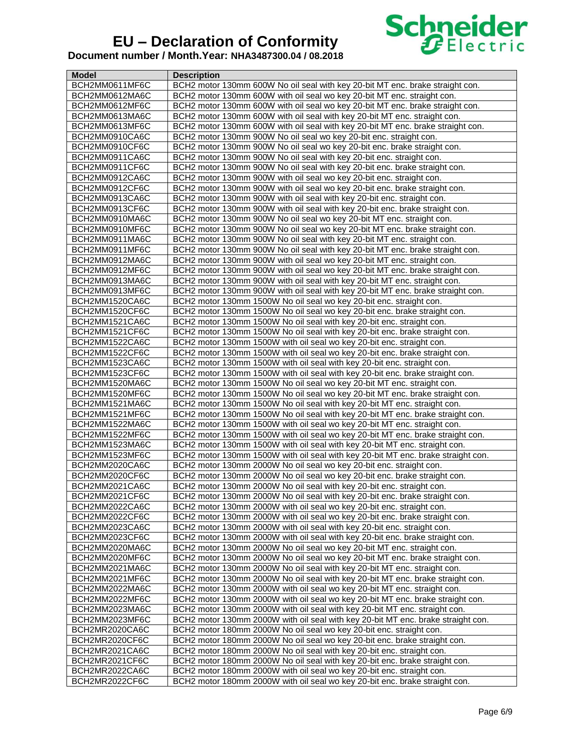

| Model                            | <b>Description</b>                                                                                                                                         |
|----------------------------------|------------------------------------------------------------------------------------------------------------------------------------------------------------|
| BCH2MM0611MF6C                   | BCH2 motor 130mm 600W No oil seal with key 20-bit MT enc. brake straight con.                                                                              |
| BCH2MM0612MA6C                   | BCH2 motor 130mm 600W with oil seal wo key 20-bit MT enc. straight con.                                                                                    |
| BCH2MM0612MF6C                   | BCH2 motor 130mm 600W with oil seal wo key 20-bit MT enc. brake straight con.                                                                              |
| BCH2MM0613MA6C                   | BCH2 motor 130mm 600W with oil seal with key 20-bit MT enc. straight con.                                                                                  |
| BCH2MM0613MF6C                   | BCH2 motor 130mm 600W with oil seal with key 20-bit MT enc. brake straight con.                                                                            |
| BCH2MM0910CA6C                   | BCH2 motor 130mm 900W No oil seal wo key 20-bit enc. straight con.                                                                                         |
| BCH2MM0910CF6C                   | BCH2 motor 130mm 900W No oil seal wo key 20-bit enc. brake straight con.                                                                                   |
| BCH2MM0911CA6C                   | BCH2 motor 130mm 900W No oil seal with key 20-bit enc. straight con.                                                                                       |
| BCH2MM0911CF6C                   | BCH2 motor 130mm 900W No oil seal with key 20-bit enc. brake straight con.                                                                                 |
| BCH2MM0912CA6C                   | BCH2 motor 130mm 900W with oil seal wo key 20-bit enc. straight con.                                                                                       |
| BCH2MM0912CF6C                   | BCH2 motor 130mm 900W with oil seal wo key 20-bit enc. brake straight con.                                                                                 |
| BCH2MM0913CA6C                   | BCH2 motor 130mm 900W with oil seal with key 20-bit enc. straight con.                                                                                     |
| BCH2MM0913CF6C                   | BCH2 motor 130mm 900W with oil seal with key 20-bit enc. brake straight con.                                                                               |
| BCH2MM0910MA6C                   | BCH2 motor 130mm 900W No oil seal wo key 20-bit MT enc. straight con.                                                                                      |
| BCH2MM0910MF6C                   | BCH2 motor 130mm 900W No oil seal wo key 20-bit MT enc. brake straight con.                                                                                |
| BCH2MM0911MA6C                   | BCH2 motor 130mm 900W No oil seal with key 20-bit MT enc. straight con.                                                                                    |
| BCH2MM0911MF6C                   | BCH2 motor 130mm 900W No oil seal with key 20-bit MT enc. brake straight con.                                                                              |
| BCH2MM0912MA6C                   | BCH2 motor 130mm 900W with oil seal wo key 20-bit MT enc. straight con.                                                                                    |
| BCH2MM0912MF6C                   | BCH2 motor 130mm 900W with oil seal wo key 20-bit MT enc. brake straight con.                                                                              |
| BCH2MM0913MA6C                   | BCH2 motor 130mm 900W with oil seal with key 20-bit MT enc. straight con.                                                                                  |
| BCH2MM0913MF6C                   | BCH2 motor 130mm 900W with oil seal with key 20-bit MT enc. brake straight con.                                                                            |
| BCH2MM1520CA6C                   | BCH2 motor 130mm 1500W No oil seal wo key 20-bit enc. straight con.                                                                                        |
| BCH2MM1520CF6C                   | BCH2 motor 130mm 1500W No oil seal wo key 20-bit enc. brake straight con.                                                                                  |
| BCH2MM1521CA6C                   |                                                                                                                                                            |
|                                  | BCH2 motor 130mm 1500W No oil seal with key 20-bit enc. straight con.<br>BCH2 motor 130mm 1500W No oil seal with key 20-bit enc. brake straight con.       |
| BCH2MM1521CF6C<br>BCH2MM1522CA6C |                                                                                                                                                            |
|                                  | BCH2 motor 130mm 1500W with oil seal wo key 20-bit enc. straight con.                                                                                      |
| BCH2MM1522CF6C                   | BCH2 motor 130mm 1500W with oil seal wo key 20-bit enc. brake straight con.                                                                                |
| BCH2MM1523CA6C                   | BCH2 motor 130mm 1500W with oil seal with key 20-bit enc. straight con.                                                                                    |
| BCH2MM1523CF6C                   | BCH2 motor 130mm 1500W with oil seal with key 20-bit enc. brake straight con.                                                                              |
| BCH2MM1520MA6C                   | BCH2 motor 130mm 1500W No oil seal wo key 20-bit MT enc. straight con.                                                                                     |
| BCH2MM1520MF6C                   | BCH2 motor 130mm 1500W No oil seal wo key 20-bit MT enc. brake straight con.                                                                               |
| BCH2MM1521MA6C                   | BCH2 motor 130mm 1500W No oil seal with key 20-bit MT enc. straight con.                                                                                   |
| BCH2MM1521MF6C<br>BCH2MM1522MA6C | BCH2 motor 130mm 1500W No oil seal with key 20-bit MT enc. brake straight con.<br>BCH2 motor 130mm 1500W with oil seal wo key 20-bit MT enc. straight con. |
|                                  | BCH2 motor 130mm 1500W with oil seal wo key 20-bit MT enc. brake straight con.                                                                             |
| BCH2MM1522MF6C<br>BCH2MM1523MA6C | BCH2 motor 130mm 1500W with oil seal with key 20-bit MT enc. straight con.                                                                                 |
| BCH2MM1523MF6C                   | BCH2 motor 130mm 1500W with oil seal with key 20-bit MT enc. brake straight con.                                                                           |
| BCH2MM2020CA6C                   | BCH2 motor 130mm 2000W No oil seal wo key 20-bit enc. straight con.                                                                                        |
| BCH2MM2020CF6C                   | BCH2 motor 130mm 2000W No oil seal wo key 20-bit enc. brake straight con.                                                                                  |
|                                  | BCH2 motor 130mm 2000W No oil seal with key 20-bit enc. straight con.                                                                                      |
| BCH2MM2021CA6C<br>BCH2MM2021CF6C | BCH2 motor 130mm 2000W No oil seal with key 20-bit enc. brake straight con.                                                                                |
| BCH2MM2022CA6C                   |                                                                                                                                                            |
|                                  | BCH2 motor 130mm 2000W with oil seal wo key 20-bit enc. straight con.                                                                                      |
| BCH2MM2022CF6C                   | BCH2 motor 130mm 2000W with oil seal wo key 20-bit enc. brake straight con.<br>BCH2 motor 130mm 2000W with oil seal with key 20-bit enc. straight con.     |
| BCH2MM2023CA6C<br>BCH2MM2023CF6C | BCH2 motor 130mm 2000W with oil seal with key 20-bit enc. brake straight con.                                                                              |
|                                  |                                                                                                                                                            |
| BCH2MM2020MA6C                   | BCH2 motor 130mm 2000W No oil seal wo key 20-bit MT enc. straight con.                                                                                     |
| BCH2MM2020MF6C                   | BCH2 motor 130mm 2000W No oil seal wo key 20-bit MT enc. brake straight con.                                                                               |
| BCH2MM2021MA6C                   | BCH2 motor 130mm 2000W No oil seal with key 20-bit MT enc. straight con.                                                                                   |
| BCH2MM2021MF6C                   | BCH2 motor 130mm 2000W No oil seal with key 20-bit MT enc. brake straight con.                                                                             |
| BCH2MM2022MA6C                   | BCH2 motor 130mm 2000W with oil seal wo key 20-bit MT enc. straight con.                                                                                   |
| BCH2MM2022MF6C                   | BCH2 motor 130mm 2000W with oil seal wo key 20-bit MT enc. brake straight con.                                                                             |
| BCH2MM2023MA6C                   | BCH2 motor 130mm 2000W with oil seal with key 20-bit MT enc. straight con.                                                                                 |
| BCH2MM2023MF6C                   | BCH2 motor 130mm 2000W with oil seal with key 20-bit MT enc. brake straight con.                                                                           |
| BCH2MR2020CA6C                   | BCH2 motor 180mm 2000W No oil seal wo key 20-bit enc. straight con.                                                                                        |
| BCH2MR2020CF6C                   | BCH2 motor 180mm 2000W No oil seal wo key 20-bit enc. brake straight con.                                                                                  |
| BCH2MR2021CA6C                   | BCH2 motor 180mm 2000W No oil seal with key 20-bit enc. straight con.                                                                                      |
| BCH2MR2021CF6C                   | BCH2 motor 180mm 2000W No oil seal with key 20-bit enc. brake straight con.                                                                                |
| BCH2MR2022CA6C                   | BCH2 motor 180mm 2000W with oil seal wo key 20-bit enc. straight con.                                                                                      |
| BCH2MR2022CF6C                   | BCH2 motor 180mm 2000W with oil seal wo key 20-bit enc. brake straight con.                                                                                |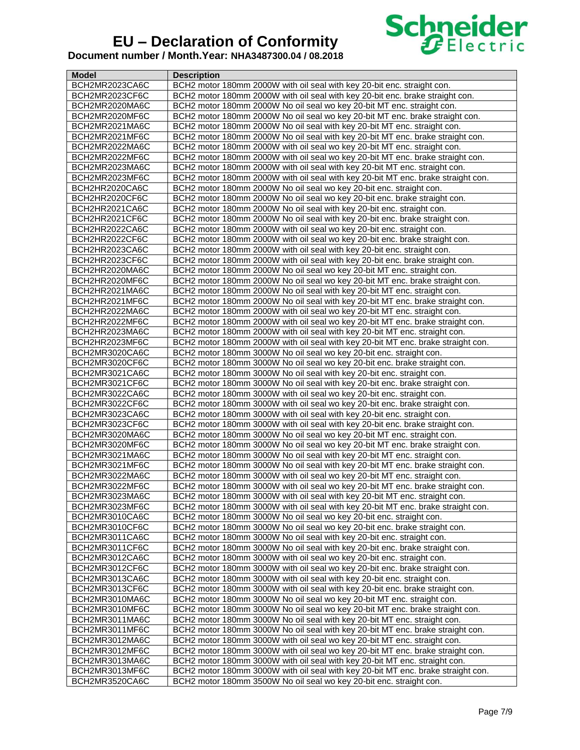

| <b>Model</b>   | <b>Description</b>                                                               |
|----------------|----------------------------------------------------------------------------------|
| BCH2MR2023CA6C | BCH2 motor 180mm 2000W with oil seal with key 20-bit enc. straight con.          |
| BCH2MR2023CF6C | BCH2 motor 180mm 2000W with oil seal with key 20-bit enc. brake straight con.    |
| BCH2MR2020MA6C | BCH2 motor 180mm 2000W No oil seal wo key 20-bit MT enc. straight con.           |
| BCH2MR2020MF6C | BCH2 motor 180mm 2000W No oil seal wo key 20-bit MT enc. brake straight con.     |
| BCH2MR2021MA6C | BCH2 motor 180mm 2000W No oil seal with key 20-bit MT enc. straight con.         |
| BCH2MR2021MF6C | BCH2 motor 180mm 2000W No oil seal with key 20-bit MT enc. brake straight con.   |
| BCH2MR2022MA6C | BCH2 motor 180mm 2000W with oil seal wo key 20-bit MT enc. straight con.         |
| BCH2MR2022MF6C | BCH2 motor 180mm 2000W with oil seal wo key 20-bit MT enc. brake straight con.   |
| BCH2MR2023MA6C | BCH2 motor 180mm 2000W with oil seal with key 20-bit MT enc. straight con.       |
| BCH2MR2023MF6C | BCH2 motor 180mm 2000W with oil seal with key 20-bit MT enc. brake straight con. |
| BCH2HR2020CA6C | BCH2 motor 180mm 2000W No oil seal wo key 20-bit enc. straight con.              |
| BCH2HR2020CF6C | BCH2 motor 180mm 2000W No oil seal wo key 20-bit enc. brake straight con.        |
| BCH2HR2021CA6C | BCH2 motor 180mm 2000W No oil seal with key 20-bit enc. straight con.            |
| BCH2HR2021CF6C | BCH2 motor 180mm 2000W No oil seal with key 20-bit enc. brake straight con.      |
| BCH2HR2022CA6C | BCH2 motor 180mm 2000W with oil seal wo key 20-bit enc. straight con.            |
| BCH2HR2022CF6C | BCH2 motor 180mm 2000W with oil seal wo key 20-bit enc. brake straight con.      |
| BCH2HR2023CA6C | BCH2 motor 180mm 2000W with oil seal with key 20-bit enc. straight con.          |
| BCH2HR2023CF6C | BCH2 motor 180mm 2000W with oil seal with key 20-bit enc. brake straight con.    |
| BCH2HR2020MA6C | BCH2 motor 180mm 2000W No oil seal wo key 20-bit MT enc. straight con.           |
| BCH2HR2020MF6C | BCH2 motor 180mm 2000W No oil seal wo key 20-bit MT enc. brake straight con.     |
| BCH2HR2021MA6C | BCH2 motor 180mm 2000W No oil seal with key 20-bit MT enc. straight con.         |
| BCH2HR2021MF6C | BCH2 motor 180mm 2000W No oil seal with key 20-bit MT enc. brake straight con.   |
| BCH2HR2022MA6C | BCH2 motor 180mm 2000W with oil seal wo key 20-bit MT enc. straight con.         |
| BCH2HR2022MF6C | BCH2 motor 180mm 2000W with oil seal wo key 20-bit MT enc. brake straight con.   |
| BCH2HR2023MA6C | BCH2 motor 180mm 2000W with oil seal with key 20-bit MT enc. straight con.       |
| BCH2HR2023MF6C | BCH2 motor 180mm 2000W with oil seal with key 20-bit MT enc. brake straight con. |
| BCH2MR3020CA6C | BCH2 motor 180mm 3000W No oil seal wo key 20-bit enc. straight con.              |
| BCH2MR3020CF6C | BCH2 motor 180mm 3000W No oil seal wo key 20-bit enc. brake straight con.        |
| BCH2MR3021CA6C | BCH2 motor 180mm 3000W No oil seal with key 20-bit enc. straight con.            |
| BCH2MR3021CF6C | BCH2 motor 180mm 3000W No oil seal with key 20-bit enc. brake straight con.      |
| BCH2MR3022CA6C | BCH2 motor 180mm 3000W with oil seal wo key 20-bit enc. straight con.            |
| BCH2MR3022CF6C | BCH2 motor 180mm 3000W with oil seal wo key 20-bit enc. brake straight con.      |
| BCH2MR3023CA6C | BCH2 motor 180mm 3000W with oil seal with key 20-bit enc. straight con.          |
| BCH2MR3023CF6C | BCH2 motor 180mm 3000W with oil seal with key 20-bit enc. brake straight con.    |
| BCH2MR3020MA6C | BCH2 motor 180mm 3000W No oil seal wo key 20-bit MT enc. straight con.           |
| BCH2MR3020MF6C | BCH2 motor 180mm 3000W No oil seal wo key 20-bit MT enc. brake straight con.     |
| BCH2MR3021MA6C | BCH2 motor 180mm 3000W No oil seal with key 20-bit MT enc. straight con.         |
| BCH2MR3021MF6C | BCH2 motor 180mm 3000W No oil seal with key 20-bit MT enc. brake straight con.   |
| BCH2MR3022MA6C | BCH2 motor 180mm 3000W with oil seal wo key 20-bit MT enc. straight con.         |
| BCH2MR3022MF6C | BCH2 motor 180mm 3000W with oil seal wo key 20-bit MT enc. brake straight con.   |
| BCH2MR3023MA6C | BCH2 motor 180mm 3000W with oil seal with key 20-bit MT enc. straight con.       |
| BCH2MR3023MF6C | BCH2 motor 180mm 3000W with oil seal with key 20-bit MT enc. brake straight con. |
| BCH2MR3010CA6C | BCH2 motor 180mm 3000W No oil seal wo key 20-bit enc. straight con.              |
| BCH2MR3010CF6C | BCH2 motor 180mm 3000W No oil seal wo key 20-bit enc. brake straight con.        |
| BCH2MR3011CA6C | BCH2 motor 180mm 3000W No oil seal with key 20-bit enc. straight con.            |
| BCH2MR3011CF6C | BCH2 motor 180mm 3000W No oil seal with key 20-bit enc. brake straight con.      |
| BCH2MR3012CA6C | BCH2 motor 180mm 3000W with oil seal wo key 20-bit enc. straight con.            |
| BCH2MR3012CF6C | BCH2 motor 180mm 3000W with oil seal wo key 20-bit enc. brake straight con.      |
| BCH2MR3013CA6C | BCH2 motor 180mm 3000W with oil seal with key 20-bit enc. straight con.          |
| BCH2MR3013CF6C | BCH2 motor 180mm 3000W with oil seal with key 20-bit enc. brake straight con.    |
| BCH2MR3010MA6C | BCH2 motor 180mm 3000W No oil seal wo key 20-bit MT enc. straight con.           |
| BCH2MR3010MF6C | BCH2 motor 180mm 3000W No oil seal wo key 20-bit MT enc. brake straight con.     |
| BCH2MR3011MA6C | BCH2 motor 180mm 3000W No oil seal with key 20-bit MT enc. straight con.         |
| BCH2MR3011MF6C | BCH2 motor 180mm 3000W No oil seal with key 20-bit MT enc. brake straight con.   |
| BCH2MR3012MA6C | BCH2 motor 180mm 3000W with oil seal wo key 20-bit MT enc. straight con.         |
| BCH2MR3012MF6C | BCH2 motor 180mm 3000W with oil seal wo key 20-bit MT enc. brake straight con.   |
| BCH2MR3013MA6C | BCH2 motor 180mm 3000W with oil seal with key 20-bit MT enc. straight con.       |
| BCH2MR3013MF6C | BCH2 motor 180mm 3000W with oil seal with key 20-bit MT enc. brake straight con. |
| BCH2MR3520CA6C | BCH2 motor 180mm 3500W No oil seal wo key 20-bit enc. straight con.              |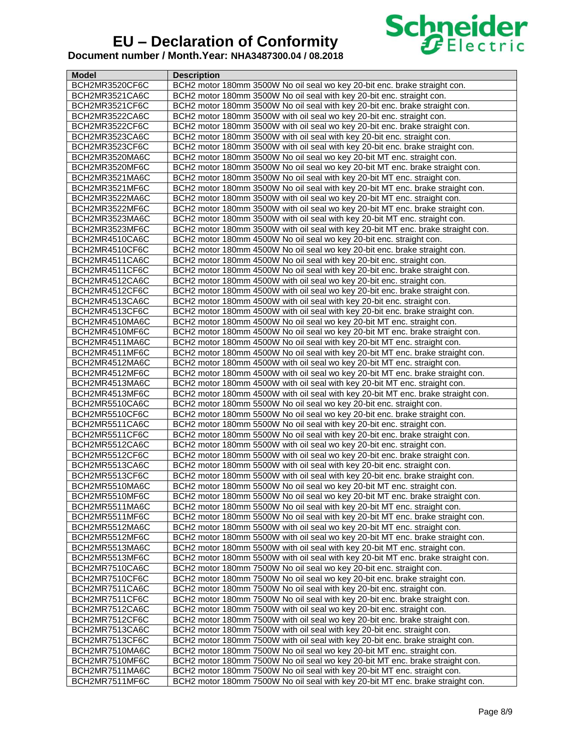

| Model          | <b>Description</b>                                                               |
|----------------|----------------------------------------------------------------------------------|
| BCH2MR3520CF6C | BCH2 motor 180mm 3500W No oil seal wo key 20-bit enc. brake straight con.        |
| BCH2MR3521CA6C | BCH2 motor 180mm 3500W No oil seal with key 20-bit enc. straight con.            |
| BCH2MR3521CF6C | BCH2 motor 180mm 3500W No oil seal with key 20-bit enc. brake straight con.      |
| BCH2MR3522CA6C | BCH2 motor 180mm 3500W with oil seal wo key 20-bit enc. straight con.            |
| BCH2MR3522CF6C | BCH2 motor 180mm 3500W with oil seal wo key 20-bit enc. brake straight con.      |
| BCH2MR3523CA6C | BCH2 motor 180mm 3500W with oil seal with key 20-bit enc. straight con.          |
| BCH2MR3523CF6C | BCH2 motor 180mm 3500W with oil seal with key 20-bit enc. brake straight con.    |
| BCH2MR3520MA6C | BCH2 motor 180mm 3500W No oil seal wo key 20-bit MT enc. straight con.           |
| BCH2MR3520MF6C | BCH2 motor 180mm 3500W No oil seal wo key 20-bit MT enc. brake straight con.     |
| BCH2MR3521MA6C | BCH2 motor 180mm 3500W No oil seal with key 20-bit MT enc. straight con.         |
| BCH2MR3521MF6C | BCH2 motor 180mm 3500W No oil seal with key 20-bit MT enc. brake straight con.   |
| BCH2MR3522MA6C | BCH2 motor 180mm 3500W with oil seal wo key 20-bit MT enc. straight con.         |
| BCH2MR3522MF6C | BCH2 motor 180mm 3500W with oil seal wo key 20-bit MT enc. brake straight con.   |
| BCH2MR3523MA6C | BCH2 motor 180mm 3500W with oil seal with key 20-bit MT enc. straight con.       |
| BCH2MR3523MF6C | BCH2 motor 180mm 3500W with oil seal with key 20-bit MT enc. brake straight con. |
| BCH2MR4510CA6C | BCH2 motor 180mm 4500W No oil seal wo key 20-bit enc. straight con.              |
| BCH2MR4510CF6C | BCH2 motor 180mm 4500W No oil seal wo key 20-bit enc. brake straight con.        |
|                | BCH2 motor 180mm 4500W No oil seal with key 20-bit enc. straight con.            |
| BCH2MR4511CA6C |                                                                                  |
| BCH2MR4511CF6C | BCH2 motor 180mm 4500W No oil seal with key 20-bit enc. brake straight con.      |
| BCH2MR4512CA6C | BCH2 motor 180mm 4500W with oil seal wo key 20-bit enc. straight con.            |
| BCH2MR4512CF6C | BCH2 motor 180mm 4500W with oil seal wo key 20-bit enc. brake straight con.      |
| BCH2MR4513CA6C | BCH2 motor 180mm 4500W with oil seal with key 20-bit enc. straight con.          |
| BCH2MR4513CF6C | BCH2 motor 180mm 4500W with oil seal with key 20-bit enc. brake straight con.    |
| BCH2MR4510MA6C | BCH2 motor 180mm 4500W No oil seal wo key 20-bit MT enc. straight con.           |
| BCH2MR4510MF6C | BCH2 motor 180mm 4500W No oil seal wo key 20-bit MT enc. brake straight con.     |
| BCH2MR4511MA6C | BCH2 motor 180mm 4500W No oil seal with key 20-bit MT enc. straight con.         |
| BCH2MR4511MF6C | BCH2 motor 180mm 4500W No oil seal with key 20-bit MT enc. brake straight con.   |
| BCH2MR4512MA6C | BCH2 motor 180mm 4500W with oil seal wo key 20-bit MT enc. straight con.         |
| BCH2MR4512MF6C | BCH2 motor 180mm 4500W with oil seal wo key 20-bit MT enc. brake straight con.   |
| BCH2MR4513MA6C | BCH2 motor 180mm 4500W with oil seal with key 20-bit MT enc. straight con.       |
| BCH2MR4513MF6C | BCH2 motor 180mm 4500W with oil seal with key 20-bit MT enc. brake straight con. |
| BCH2MR5510CA6C | BCH2 motor 180mm 5500W No oil seal wo key 20-bit enc. straight con.              |
| BCH2MR5510CF6C | BCH2 motor 180mm 5500W No oil seal wo key 20-bit enc. brake straight con.        |
| BCH2MR5511CA6C | BCH2 motor 180mm 5500W No oil seal with key 20-bit enc. straight con.            |
| BCH2MR5511CF6C | BCH2 motor 180mm 5500W No oil seal with key 20-bit enc. brake straight con.      |
| BCH2MR5512CA6C | BCH2 motor 180mm 5500W with oil seal wo key 20-bit enc. straight con.            |
| BCH2MR5512CF6C | BCH2 motor 180mm 5500W with oil seal wo key 20-bit enc. brake straight con.      |
| BCH2MR5513CA6C | BCH2 motor 180mm 5500W with oil seal with key 20-bit enc. straight con.          |
| BCH2MR5513CF6C | BCH2 motor 180mm 5500W with oil seal with key 20-bit enc. brake straight con.    |
| BCH2MR5510MA6C | BCH2 motor 180mm 5500W No oil seal wo key 20-bit MT enc. straight con.           |
| BCH2MR5510MF6C | BCH2 motor 180mm 5500W No oil seal wo key 20-bit MT enc. brake straight con.     |
| BCH2MR5511MA6C | BCH2 motor 180mm 5500W No oil seal with key 20-bit MT enc. straight con.         |
| BCH2MR5511MF6C | BCH2 motor 180mm 5500W No oil seal with key 20-bit MT enc. brake straight con.   |
| BCH2MR5512MA6C | BCH2 motor 180mm 5500W with oil seal wo key 20-bit MT enc. straight con.         |
| BCH2MR5512MF6C | BCH2 motor 180mm 5500W with oil seal wo key 20-bit MT enc. brake straight con.   |
| BCH2MR5513MA6C | BCH2 motor 180mm 5500W with oil seal with key 20-bit MT enc. straight con.       |
| BCH2MR5513MF6C | BCH2 motor 180mm 5500W with oil seal with key 20-bit MT enc. brake straight con. |
| BCH2MR7510CA6C | BCH2 motor 180mm 7500W No oil seal wo key 20-bit enc. straight con.              |
| BCH2MR7510CF6C | BCH2 motor 180mm 7500W No oil seal wo key 20-bit enc. brake straight con.        |
| BCH2MR7511CA6C | BCH2 motor 180mm 7500W No oil seal with key 20-bit enc. straight con.            |
| BCH2MR7511CF6C | BCH2 motor 180mm 7500W No oil seal with key 20-bit enc. brake straight con.      |
| BCH2MR7512CA6C | BCH2 motor 180mm 7500W with oil seal wo key 20-bit enc. straight con.            |
| BCH2MR7512CF6C | BCH2 motor 180mm 7500W with oil seal wo key 20-bit enc. brake straight con.      |
| BCH2MR7513CA6C | BCH2 motor 180mm 7500W with oil seal with key 20-bit enc. straight con.          |
| BCH2MR7513CF6C | BCH2 motor 180mm 7500W with oil seal with key 20-bit enc. brake straight con.    |
| BCH2MR7510MA6C | BCH2 motor 180mm 7500W No oil seal wo key 20-bit MT enc. straight con.           |
| BCH2MR7510MF6C | BCH2 motor 180mm 7500W No oil seal wo key 20-bit MT enc. brake straight con.     |
| BCH2MR7511MA6C | BCH2 motor 180mm 7500W No oil seal with key 20-bit MT enc. straight con.         |
| BCH2MR7511MF6C | BCH2 motor 180mm 7500W No oil seal with key 20-bit MT enc. brake straight con.   |